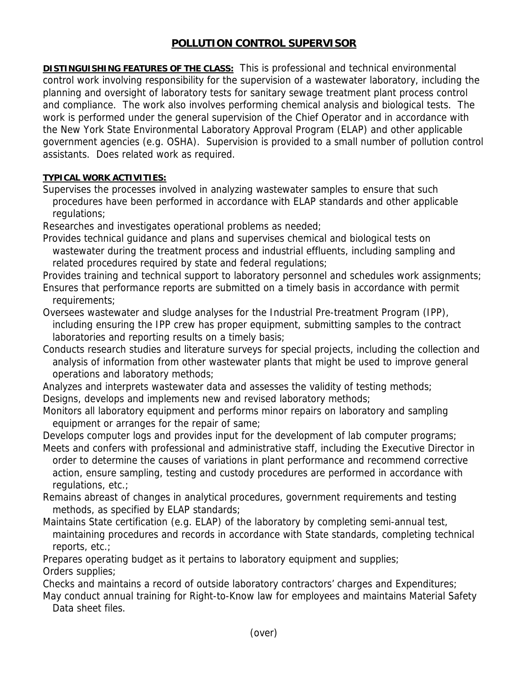## **POLLUTION CONTROL SUPERVISOR**

**DISTINGUISHING FEATURES OF THE CLASS:** This is professional and technical environmental control work involving responsibility for the supervision of a wastewater laboratory, including the planning and oversight of laboratory tests for sanitary sewage treatment plant process control and compliance. The work also involves performing chemical analysis and biological tests. The work is performed under the general supervision of the Chief Operator and in accordance with the New York State Environmental Laboratory Approval Program (ELAP) and other applicable government agencies (e.g. OSHA). Supervision is provided to a small number of pollution control assistants. Does related work as required.

## **TYPICAL WORK ACTIVITIES:**

Supervises the processes involved in analyzing wastewater samples to ensure that such procedures have been performed in accordance with ELAP standards and other applicable regulations;

Researches and investigates operational problems as needed;

Provides technical guidance and plans and supervises chemical and biological tests on wastewater during the treatment process and industrial effluents, including sampling and related procedures required by state and federal regulations;

Provides training and technical support to laboratory personnel and schedules work assignments; Ensures that performance reports are submitted on a timely basis in accordance with permit requirements;

Oversees wastewater and sludge analyses for the Industrial Pre-treatment Program (IPP), including ensuring the IPP crew has proper equipment, submitting samples to the contract laboratories and reporting results on a timely basis;

Conducts research studies and literature surveys for special projects, including the collection and analysis of information from other wastewater plants that might be used to improve general operations and laboratory methods;

Analyzes and interprets wastewater data and assesses the validity of testing methods; Designs, develops and implements new and revised laboratory methods;

Monitors all laboratory equipment and performs minor repairs on laboratory and sampling equipment or arranges for the repair of same;

Develops computer logs and provides input for the development of lab computer programs;

Meets and confers with professional and administrative staff, including the Executive Director in order to determine the causes of variations in plant performance and recommend corrective action, ensure sampling, testing and custody procedures are performed in accordance with regulations, etc.;

Remains abreast of changes in analytical procedures, government requirements and testing methods, as specified by ELAP standards;

Maintains State certification (e.g. ELAP) of the laboratory by completing semi-annual test, maintaining procedures and records in accordance with State standards, completing technical reports, etc.;

Prepares operating budget as it pertains to laboratory equipment and supplies;

Orders supplies;

Checks and maintains a record of outside laboratory contractors' charges and Expenditures;

May conduct annual training for Right-to-Know law for employees and maintains Material Safety Data sheet files.